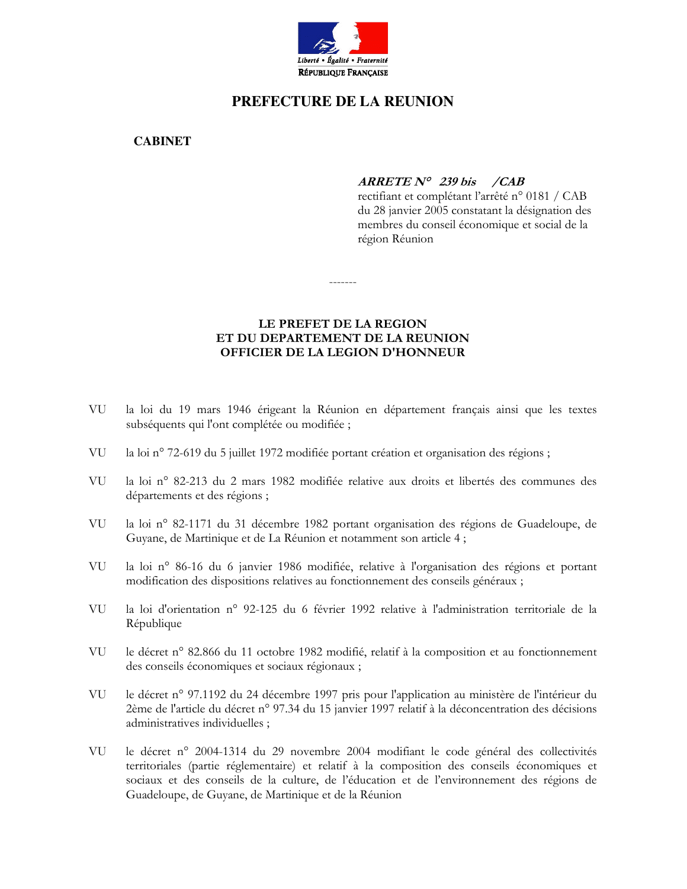

# PREFECTURE DE LA REUNION

**CABINET** 

# $ARREF$  N° 239 bis /CAB

rectifiant et complétant l'arrêté n° 0181 / CAB du 28 janvier 2005 constatant la désignation des membres du conseil économique et social de la région Réunion

## LE PREFET DE LA REGION ET DU DEPARTEMENT DE LA REUNION OFFICIER DE LA LEGION D'HONNEUR

- VU la loi du 19 mars 1946 érigeant la Réunion en département français ainsi que les textes subséquents qui l'ont complétée ou modifiée ;
- VU la loi n° 72-619 du 5 juillet 1972 modifiée portant création et organisation des régions;
- VU la loi nº 82-213 du 2 mars 1982 modifiée relative aux droits et libertés des communes des départements et des régions ;
- VU la loi nº 82-1171 du 31 décembre 1982 portant organisation des régions de Guadeloupe, de Guyane, de Martinique et de La Réunion et notamment son article 4;
- **VU** la loi nº 86-16 du 6 janvier 1986 modifiée, relative à l'organisation des régions et portant modification des dispositions relatives au fonctionnement des conseils généraux ;
- VU la loi d'orientation n° 92-125 du 6 février 1992 relative à l'administration territoriale de la République
- VU le décret n° 82.866 du 11 octobre 1982 modifié, relatif à la composition et au fonctionnement des conseils économiques et sociaux régionaux ;
- VU le décret n° 97.1192 du 24 décembre 1997 pris pour l'application au ministère de l'intérieur du 2ème de l'article du décret n° 97.34 du 15 janvier 1997 relatif à la déconcentration des décisions administratives individuelles;
- VUle décret n° 2004-1314 du 29 novembre 2004 modifiant le code général des collectivités territoriales (partie réglementaire) et relatif à la composition des conseils économiques et sociaux et des conseils de la culture, de l'éducation et de l'environnement des régions de Guadeloupe, de Guyane, de Martinique et de la Réunion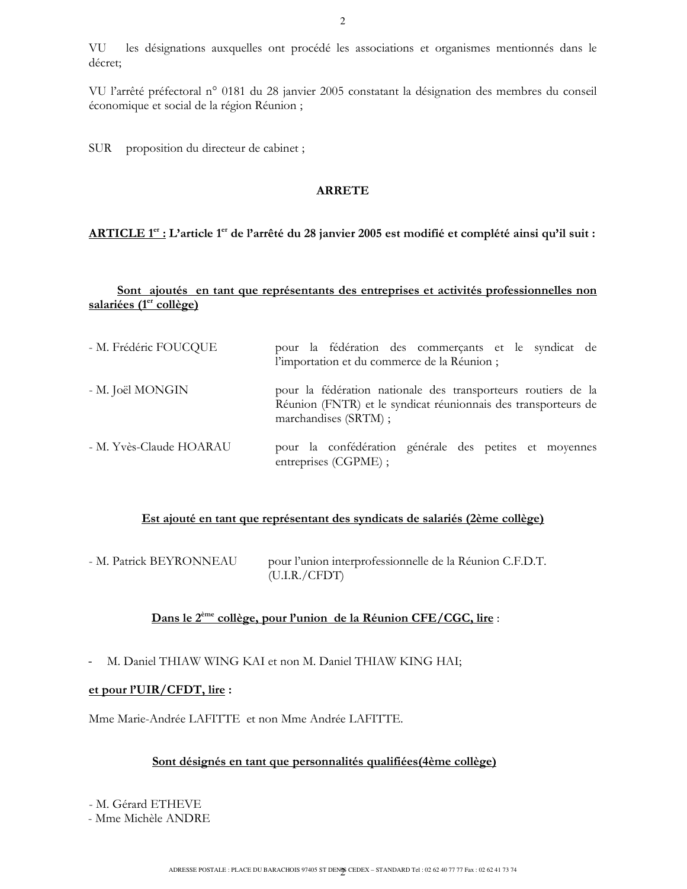VU les désignations auxquelles ont procédé les associations et organismes mentionnés dans le décret;

VU l'arrêté préfectoral n° 0181 du 28 janvier 2005 constatant la désignation des membres du conseil économique et social de la région Réunion;

SUR proposition du directeur de cabinet ;

#### **ARRETE**

#### ARTICLE 1<sup>er</sup> : L'article 1<sup>er</sup> de l'arrêté du 28 janvier 2005 est modifié et complété ainsi qu'il suit :

#### Sont ajoutés en tant que représentants des entreprises et activités professionnelles non salariées (1<sup>er</sup> collège)

| - M. Frédéric FOUCQUE   | pour la fédération des commerçants et le syndicat de<br>l'importation et du commerce de la Réunion;                                                     |
|-------------------------|---------------------------------------------------------------------------------------------------------------------------------------------------------|
| - M. Joël MONGIN        | pour la fédération nationale des transporteurs routiers de la<br>Réunion (FNTR) et le syndicat réunionnais des transporteurs de<br>marchandises (SRTM); |
| - M. Yvès-Claude HOARAU | pour la confédération générale des petites et moyennes<br>entreprises (CGPME);                                                                          |

### Est ajouté en tant que représentant des syndicats de salariés (2ème collège)

| - M. Patrick BEYRONNEAU | pour l'union interprofessionnelle de la Réunion C.F.D.T. |
|-------------------------|----------------------------------------------------------|
|                         | (U.I.R./CFDT)                                            |

### Dans le 2<sup>ème</sup> collège, pour l'union de la Réunion CFE/CGC, lire :

M. Daniel THIAW WING KAI et non M. Daniel THIAW KING HAI;  $\Box$ 

#### et pour  $PUIR/CFDT$ , lire :

Mme Marie-Andrée LAFITTE et non Mme Andrée LAFITTE.

#### Sont désignés en tant que personnalités qualifiées (4ème collège)

- M. Gérard ETHEVE

- Mme Michèle ANDRE